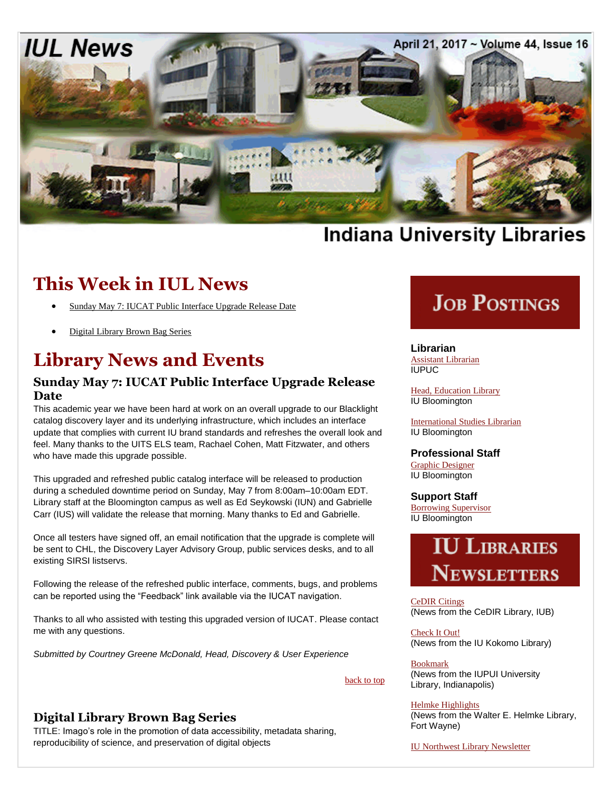

# **Indiana University Libraries**

## **This Week in IUL News**

- [Sunday May 7: IUCAT Public Interface Upgrade Release Date](#page-0-0)
- [Digital Library Brown Bag Series](#page-0-1)

## **Library News and Events**

### <span id="page-0-0"></span>**Sunday May 7: IUCAT Public Interface Upgrade Release Date**

This academic year we have been hard at work on an overall upgrade to our Blacklight catalog discovery layer and its underlying infrastructure, which includes an interface update that complies with current IU brand standards and refreshes the overall look and feel. Many thanks to the UITS ELS team, Rachael Cohen, Matt Fitzwater, and others who have made this upgrade possible.

This upgraded and refreshed public catalog interface will be released to production during a scheduled downtime period on Sunday, May 7 from 8:00am–10:00am EDT. Library staff at the Bloomington campus as well as Ed Seykowski (IUN) and Gabrielle Carr (IUS) will validate the release that morning. Many thanks to Ed and Gabrielle.

Once all testers have signed off, an email notification that the upgrade is complete will be sent to CHL, the Discovery Layer Advisory Group, public services desks, and to all existing SIRSI listservs.

Following the release of the refreshed public interface, comments, bugs, and problems can be reported using the "Feedback" link available via the IUCAT navigation.

Thanks to all who assisted with testing this upgraded version of IUCAT. Please contact me with any questions.

*Submitted by Courtney Greene McDonald, Head, Discovery & User Experience*

### back to top

### <span id="page-0-1"></span>**Digital Library Brown Bag Series**

TITLE: Imago's role in the promotion of data accessibility, metadata sharing, reproducibility of science, and preservation of digital objects

# **JOB POSTINGS**

**Librarian** [Assistant Librarian](http://www.iupuc.edu/about/iupuc-jobs/files/Web%20Ad%20-%20Asst%20Librarian%20-%20April%202017.pdf) IUPUC

[Head, Education](https://libraries.indiana.edu/job-postings-librarians) Library IU Bloomington

[International Studies Librarian](https://libraries.indiana.edu/job-postings-librarians) IU Bloomington

### **Professional Staff**

[Graphic Designer](https://libraries.indiana.edu/job-postings-pa) IU Bloomington

**Support Staff** [Borrowing Supervisor](https://libraries.indiana.edu/job-postings-support-staff) IU Bloomington

# **IU LIBRARIES** NEWSLETTERS

[CeDIR Citings](http://cedir.blogspot.com/) (News from the CeDIR Library, IUB)

[Check It Out!](http://www.iuk.edu/library/about_library/check_it_out.php) (News from the IU Kokomo Library)

Bookmark (News from the IUPUI University Library, Indianapolis)

### [Helmke Highlights](http://library.ipfw.edu/about/news/)

(News from the Walter E. Helmke Library, Fort Wayne)

[IU Northwest Library Newsletter](http://www.iun.edu/~libnewsn/news_archives.shtml)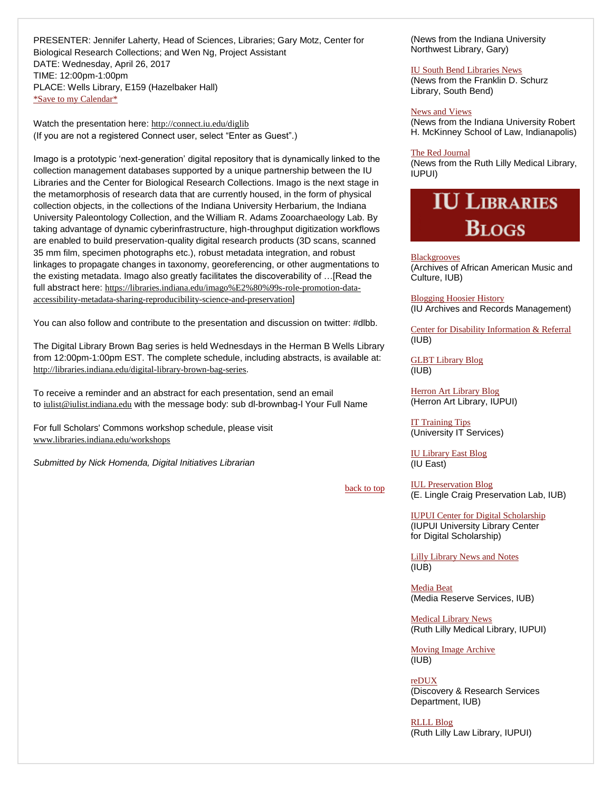PRESENTER: Jennifer Laherty, Head of Sciences, Libraries; Gary Motz, Center for Biological Research Collections; and Wen Ng, Project Assistant DATE: Wednesday, April 26, 2017 TIME: 12:00pm-1:00pm PLACE: Wells Library, E159 (Hazelbaker Hall) [\\*Save to my Calendar\\*](http://www.indiana.edu/~libpers/LIBNEWS-Calendar/DLBB_4_26.ics)

Watch the presentation here: <http://connect.iu.edu/diglib> (If you are not a registered Connect user, select "Enter as Guest".)

Imago is a prototypic 'next-generation' digital repository that is dynamically linked to the collection management databases supported by a unique partnership between the IU Libraries and the Center for Biological Research Collections. Imago is the next stage in the metamorphosis of research data that are currently housed, in the form of physical collection objects, in the collections of the Indiana University Herbarium, the Indiana University Paleontology Collection, and the William R. Adams Zooarchaeology Lab. By taking advantage of dynamic cyberinfrastructure, high-throughput digitization workflows are enabled to build preservation-quality digital research products (3D scans, scanned 35 mm film, specimen photographs etc.), robust metadata integration, and robust linkages to propagate changes in taxonomy, georeferencing, or other augmentations to the existing metadata. Imago also greatly facilitates the discoverability of …[Read the full abstract here: [https://libraries.indiana.edu/imago%E2%80%99s-role-promotion-data](https://libraries.indiana.edu/imago%E2%80%99s-role-promotion-data-accessibility-metadata-sharing-reproducibility-science-and-preservation)[accessibility-metadata-sharing-reproducibility-science-and-preservation](https://libraries.indiana.edu/imago%E2%80%99s-role-promotion-data-accessibility-metadata-sharing-reproducibility-science-and-preservation)]

You can also follow and contribute to the presentation and discussion on twitter: #dlbb.

The Digital Library Brown Bag series is held Wednesdays in the Herman B Wells Library from 12:00pm-1:00pm EST. The complete schedule, including abstracts, is available at: <http://libraries.indiana.edu/digital-library-brown-bag-series>.

To receive a reminder and an abstract for each presentation, send an email to [iulist@iulist.indiana.edu](mailto:iulist@iulist.indiana.edu) with the message body: sub dl-brownbag-l Your Full Name

For full Scholars' Commons workshop schedule, please visit [www.libraries.indiana.edu/workshops](http://www.libraries.indiana.edu/workshops)

*Submitted by Nick Homenda, Digital Initiatives Librarian*

back to top

(News from the Indiana University Northwest Library, Gary)

#### [IU South Bend Libraries News](https://www.iusb.edu/library/about/newsevents/newsletter/)

(News from the Franklin D. Schurz Library, South Bend)

#### [News and Views](http://mckinneylaw.iu.edu/library/library-news/index.html)

(News from the Indiana University Robert H. McKinney School of Law, Indianapolis)

#### [The Red Journal](http://eepurl.com/beUgND)

(News from the Ruth Lilly Medical Library, IUPUI)

# **IU LIBRARIES BLOGS**

**[Blackgrooves](http://www.blackgrooves.org/)** (Archives of African American Music and Culture, IUB)

[Blogging Hoosier History](https://blogs.libraries.indiana.edu/iubarchives/) (IU Archives and Records Management)

[Center for Disability Information & Referral](http://cedir.blogspot.com/) (IUB)

[GLBT Library Blog](https://blogs.libraries.indiana.edu/glbtlibrary/) (IUB)

[Herron Art Library Blog](http://herronartlibrary.blogspot.com/) (Herron Art Library, IUPUI)

[IT Training Tips](http://ittrainingtips.iu.edu/) (University IT Services)

[IU Library East Blog](http://iue.edu/blogs/library/2014/06/02/education-questions/) (IU East)

[IUL Preservation Blog](https://blogs.libraries.indiana.edu/craiglab/) (E. Lingle Craig Preservation Lab, IUB)

[IUPUI Center for Digital Scholarship](http://ulib.iupui.edu/digitalscholarship) (IUPUI University Library Center for Digital Scholarship)

[Lilly Library News and](http://www.indiana.edu/~liblilly/blog/) Notes (IUB)

[Media Beat](https://blogs.libraries.indiana.edu/mediabeat/) (Media Reserve Services, IUB)

[Medical Library News](http://library.medicine.iu.edu/blogs/library-news-blog) (Ruth Lilly Medical Library, IUPUI)

[Moving Image Archive](https://blogs.libraries.indiana.edu/filmarch/) (IUB)

[reDUX](https://blogs.libraries.indiana.edu/redux/) (Discovery & Research Services Department, IUB)

[RLLL Blog](http://www.rlllblog.com/) (Ruth Lilly Law Library, IUPUI)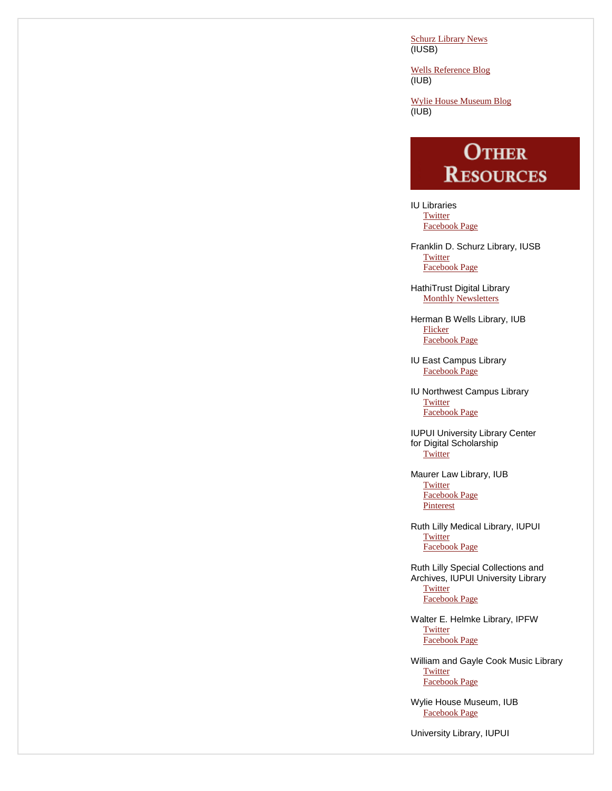[Schurz Library News](https://www.iusb.edu/library/blog/) (IUSB)

[Wells Reference Blog](https://blogs.libraries.indiana.edu/ref/) (IUB)

[Wylie House Museum Blog](https://blogs.libraries.indiana.edu/wyliehouse/)  $(IUB)$ 

# **OTHER RESOURCES**

IU Libraries **[Twitter](https://twitter.com/iulibraries?ref_src=twsrc%5Egoogle%7Ctwcamp%5Eserp%7Ctwgr%5Eauthor)** [Facebook Page](http://www.facebook.com/pages/IU-Libraries/237699996274633)

Franklin D. Schurz Library, IUSB **[Twitter](https://twitter.com/SchurzLibrary)** [Facebook Page](http://www.facebook.com/home.php#%21/pages/South-Bend-IN/Franklin-D-Schurz-Library/115268695119)

HathiTrust Digital Library [Monthly Newsletters](http://www.hathitrust.org/updates)

Herman B Wells Library, IUB [Flicker](http://www.flickr.com/photos/wellslibrary/) [Facebook Page](http://www.facebook.com/hermanbwells)

IU East Campus Library [Facebook Page](http://www.facebook.com/iuelibrary)

IU Northwest Campus Library **[Twitter](https://twitter.com/SchurzLibrary)** [Facebook Page](https://www.facebook.com/iunlibrary)

IUPUI University Library Center for Digital Scholarship **[Twitter](https://twitter.com/IUPUIDigSchol)** 

Maurer Law Library, IUB **[Twitter](https://twitter.com/IUMaurerLawLib)**  [Facebook Page](https://www.facebook.com/Indiana-University-Maurer-School-of-Law-351672842904/) **[Pinterest](http://pinterest.com/iumaurerlawlib/)** 

Ruth Lilly Medical Library, IUPUI **[Twitter](http://twitter.com/iusmlib)** [Facebook Page](https://www.facebook.com/iusmlib)

Ruth Lilly Special Collections and Archives, IUPUI University Library **[Twitter](https://twitter.com/iupui_speccoll)** [Facebook Page](http://www.facebook.com/?ref=home#%21/pages/Ruth-Lilly-Special-Collections-and-Archives/84207421283?v=wall)

Walter E. Helmke Library, IPFW **[Twitter](http://twitter.com/ipfwlibrary)** [Facebook Page](https://www.facebook.com/IPFWlibrary)

William and Gayle Cook Music Library **[Twitter](https://twitter.com/iumuslib)** [Facebook Page](https://www.facebook.com/pages/William-and-Gayle-Cook-Music-Library/76003895927?ref=aymt_homepage_panel)

Wylie House Museum, IUB [Facebook Page](http://www.facebook.com/pages/Wylie-House-Museum-Indiana-University/135928313105044)

University Library, IUPUI